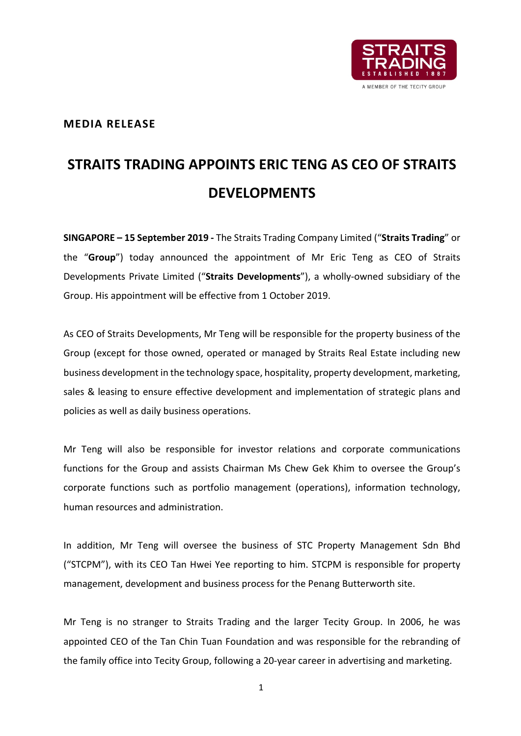

# **MEDIA RELEASE**

# **STRAITS TRADING APPOINTS ERIC TENG AS CEO OF STRAITS DEVELOPMENTS**

**SINGAPORE – 15 September 2019 -** The Straits Trading Company Limited ("**Straits Trading**" or the "**Group**") today announced the appointment of Mr Eric Teng as CEO of Straits Developments Private Limited ("**Straits Developments**"), a wholly-owned subsidiary of the Group. His appointment will be effective from 1 October 2019.

As CEO of Straits Developments, Mr Teng will be responsible for the property business of the Group (except for those owned, operated or managed by Straits Real Estate including new business development in the technology space, hospitality, property development, marketing, sales & leasing to ensure effective development and implementation of strategic plans and policies as well as daily business operations.

Mr Teng will also be responsible for investor relations and corporate communications functions for the Group and assists Chairman Ms Chew Gek Khim to oversee the Group's corporate functions such as portfolio management (operations), information technology, human resources and administration.

In addition, Mr Teng will oversee the business of STC Property Management Sdn Bhd ("STCPM"), with its CEO Tan Hwei Yee reporting to him. STCPM is responsible for property management, development and business process for the Penang Butterworth site.

Mr Teng is no stranger to Straits Trading and the larger Tecity Group. In 2006, he was appointed CEO of the Tan Chin Tuan Foundation and was responsible for the rebranding of the family office into Tecity Group, following a 20-year career in advertising and marketing.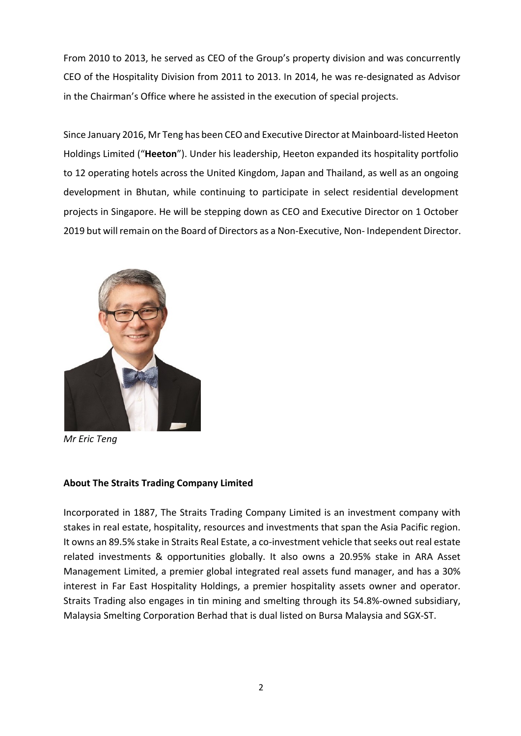From 2010 to 2013, he served as CEO of the Group's property division and was concurrently CEO of the Hospitality Division from 2011 to 2013. In 2014, he was re-designated as Advisor in the Chairman's Office where he assisted in the execution of special projects.

Since January 2016, Mr Teng has been CEO and Executive Director at Mainboard-listed Heeton Holdings Limited ("**Heeton**"). Under his leadership, Heeton expanded its hospitality portfolio to 12 operating hotels across the United Kingdom, Japan and Thailand, as well as an ongoing development in Bhutan, while continuing to participate in select residential development projects in Singapore. He will be stepping down as CEO and Executive Director on 1 October 2019 but will remain on the Board of Directors as a Non-Executive, Non- Independent Director.



*Mr Eric Teng*

## **About The Straits Trading Company Limited**

Incorporated in 1887, The Straits Trading Company Limited is an investment company with stakes in real estate, hospitality, resources and investments that span the Asia Pacific region. It owns an 89.5% stake in Straits Real Estate, a co-investment vehicle that seeks out real estate related investments & opportunities globally. It also owns a 20.95% stake in ARA Asset Management Limited, a premier global integrated real assets fund manager, and has a 30% interest in Far East Hospitality Holdings, a premier hospitality assets owner and operator. Straits Trading also engages in tin mining and smelting through its 54.8%-owned subsidiary, Malaysia Smelting Corporation Berhad that is dual listed on Bursa Malaysia and SGX-ST.